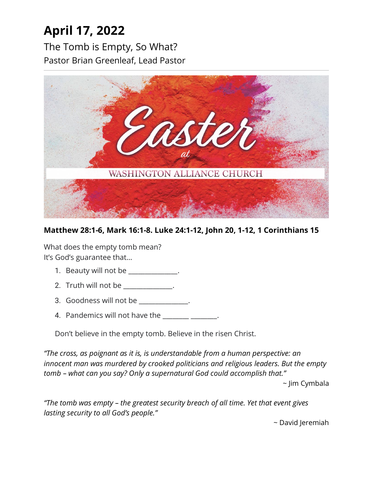# **April 17, 2022**

The Tomb is Empty, So What? Pastor Brian Greenleaf, Lead Pastor



### **Matthew 28:1-6, Mark 16:1-8. Luke 24:1-12, John 20, 1-12, 1 Corinthians 15**

What does the empty tomb mean? It's God's guarantee that…

- 1. Beauty will not be \_\_\_\_\_\_\_\_\_\_\_\_\_.
- 2. Truth will not be \_\_\_\_\_\_\_\_\_\_\_\_\_.
- 3. Goodness will not be \_\_\_\_\_\_\_\_\_\_\_\_\_\_\_.
- 4. Pandemics will not have the \_\_\_\_\_\_\_ \_\_\_\_\_\_\_.

Don't believe in the empty tomb. Believe in the risen Christ.

*"The cross, as poignant as it is, is understandable from a human perspective: an innocent man was murdered by crooked politicians and religious leaders. But the empty tomb – what can you say? Only a supernatural God could accomplish that."*

~ Jim Cymbala

*"The tomb was empty – the greatest security breach of all time. Yet that event gives lasting security to all God's people."*

~ David Jeremiah